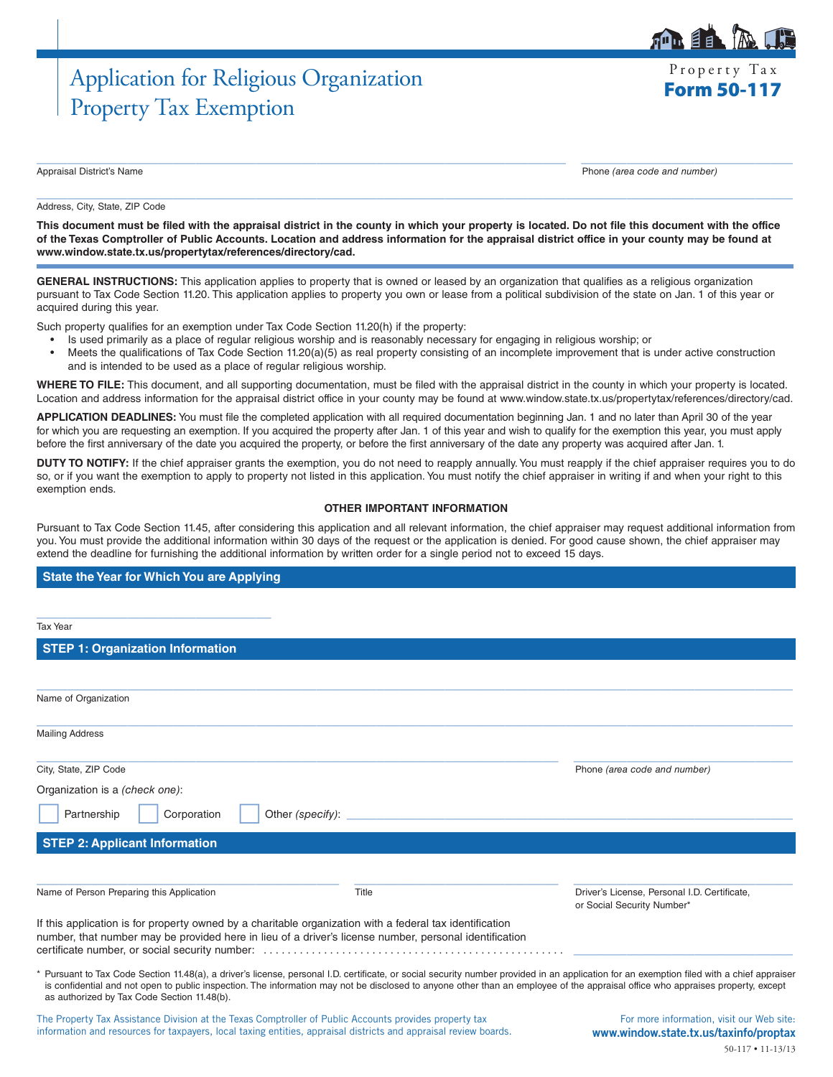# Application for Religious Organization Frequence of Property Tax Property Tax Exemption

Appraisal District's Name Phone *(area code and number)*

#### $\_$  , and the set of the set of the set of the set of the set of the set of the set of the set of the set of the set of the set of the set of the set of the set of the set of the set of the set of the set of the set of th Address, City, State, ZIP Code

**This document must be filed with the appraisal district in the county in which your property is located. Do not file this document with the office of the Texas Comptroller of Public Accounts. Location and address information for the appraisal district office in your county may be found at www.window.state.tx.us/propertytax/references/directory/cad.**

 $\_$  , and the set of the set of the set of the set of the set of the set of the set of the set of the set of the set of the set of the set of the set of the set of the set of the set of the set of the set of the set of th

**GENERAL INSTRUCTIONS:** This application applies to property that is owned or leased by an organization that qualifies as a religious organization pursuant to Tax Code Section 11.20. This application applies to property you own or lease from a political subdivision of the state on Jan. 1 of this year or acquired during this year.

Such property qualifies for an exemption under Tax Code Section 11.20(h) if the property:

- Is used primarily as a place of regular religious worship and is reasonably necessary for engaging in religious worship; or
- Meets the qualifications of Tax Code Section 11.20(a)(5) as real property consisting of an incomplete improvement that is under active construction and is intended to be used as a place of regular religious worship.

**WHERE TO FILE:** This document, and all supporting documentation, must be filed with the appraisal district in the county in which your property is located. Location and address information for the appraisal district office in your county may be found at www.window.state.tx.us/propertytax/references/directory/cad.

**APPLICATION DEADLINES:** You must file the completed application with all required documentation beginning Jan. 1 and no later than April 30 of the year for which you are requesting an exemption. If you acquired the property after Jan. 1 of this year and wish to qualify for the exemption this year, you must apply before the first anniversary of the date you acquired the property, or before the first anniversary of the date any property was acquired after Jan. 1.

**DUTY TO NOTIFY:** If the chief appraiser grants the exemption, you do not need to reapply annually. You must reapply if the chief appraiser requires you to do so, or if you want the exemption to apply to property not listed in this application. You must notify the chief appraiser in writing if and when your right to this exemption ends.

#### **OTHER IMPORTANT INFORMATION**

Pursuant to Tax Code Section 11.45, after considering this application and all relevant information, the chief appraiser may request additional information from you. You must provide the additional information within 30 days of the request or the application is denied. For good cause shown, the chief appraiser may extend the deadline for furnishing the additional information by written order for a single period not to exceed 15 days.

### **State the Year for Which You are Applying**

| <b>Tax Year</b>                                                                                                                                                                                                    |                  |                                                                                                                                                                                                                                                                                                                                                                               |
|--------------------------------------------------------------------------------------------------------------------------------------------------------------------------------------------------------------------|------------------|-------------------------------------------------------------------------------------------------------------------------------------------------------------------------------------------------------------------------------------------------------------------------------------------------------------------------------------------------------------------------------|
| <b>STEP 1: Organization Information</b>                                                                                                                                                                            |                  |                                                                                                                                                                                                                                                                                                                                                                               |
|                                                                                                                                                                                                                    |                  |                                                                                                                                                                                                                                                                                                                                                                               |
| Name of Organization                                                                                                                                                                                               |                  |                                                                                                                                                                                                                                                                                                                                                                               |
| <b>Mailing Address</b>                                                                                                                                                                                             |                  |                                                                                                                                                                                                                                                                                                                                                                               |
| City, State, ZIP Code                                                                                                                                                                                              |                  | Phone (area code and number)                                                                                                                                                                                                                                                                                                                                                  |
| Organization is a (check one):                                                                                                                                                                                     |                  |                                                                                                                                                                                                                                                                                                                                                                               |
| Partnership<br>Corporation                                                                                                                                                                                         | Other (specify): |                                                                                                                                                                                                                                                                                                                                                                               |
| <b>STEP 2: Applicant Information</b>                                                                                                                                                                               |                  |                                                                                                                                                                                                                                                                                                                                                                               |
| Name of Person Preparing this Application                                                                                                                                                                          | Title            | Driver's License, Personal I.D. Certificate,<br>or Social Security Number*                                                                                                                                                                                                                                                                                                    |
| If this application is for property owned by a charitable organization with a federal tax identification<br>number, that number may be provided here in lieu of a driver's license number, personal identification |                  |                                                                                                                                                                                                                                                                                                                                                                               |
| as authorized by Tax Code Section 11.48(b).                                                                                                                                                                        |                  | * Pursuant to Tax Code Section 11.48(a), a driver's license, personal I.D. certificate, or social security number provided in an application for an exemption filed with a chief appraiser<br>is confidential and not open to public inspection. The information may not be disclosed to anyone other than an employee of the appraisal office who appraises property, except |
| . Bara rake Tree Arcticleror - Bideting radio Trees   Arabaka High of Baktin   Arcticleror and direction rake Li                                                                                                   |                  | The concerning the figures with a constitution of the figure that the state                                                                                                                                                                                                                                                                                                   |

The Property Tax Assistance Division at the Texas Comptroller of Public Accounts provides property tax information and resources for taxpayers, local taxing entities, appraisal districts and appraisal review boards.

For more information, visit our Web site: www.window.state.tx.us/taxinfo/proptax 50-117 • 11-13/13



Property Tax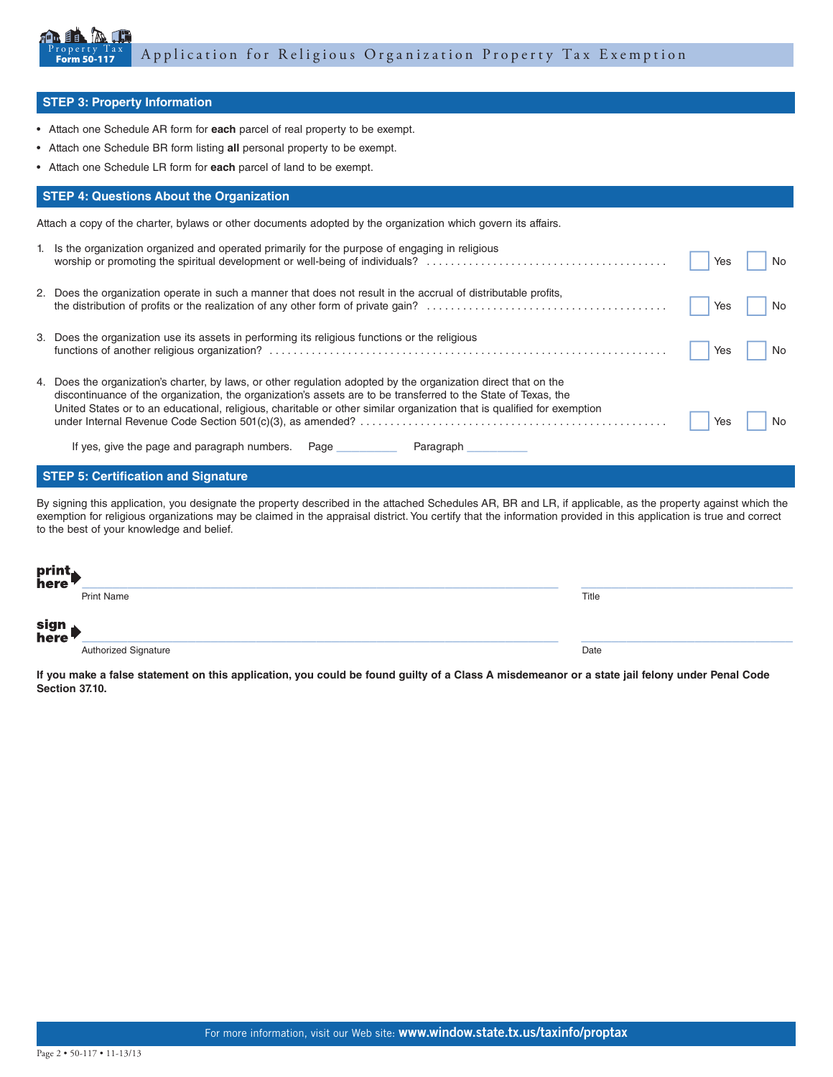

### **STEP 3: Property Information**

- Attach one Schedule AR form for **each** parcel of real property to be exempt.
- Attach one Schedule BR form listing **all** personal property to be exempt.
- Attach one Schedule LR form for **each** parcel of land to be exempt.

## **STEP 4: Questions About the Organization**

Attach a copy of the charter, bylaws or other documents adopted by the organization which govern its affairs.

| 1. Is the organization organized and operated primarily for the purpose of engaging in religious                                                                                                                                                                                                                                                             | Yes | No |
|--------------------------------------------------------------------------------------------------------------------------------------------------------------------------------------------------------------------------------------------------------------------------------------------------------------------------------------------------------------|-----|----|
| 2. Does the organization operate in such a manner that does not result in the accrual of distributable profits,                                                                                                                                                                                                                                              | Yes | No |
| 3. Does the organization use its assets in performing its religious functions or the religious                                                                                                                                                                                                                                                               | Yes | No |
| 4. Does the organization's charter, by laws, or other regulation adopted by the organization direct that on the<br>discontinuance of the organization, the organization's assets are to be transferred to the State of Texas, the<br>United States or to an educational, religious, charitable or other similar organization that is qualified for exemption | Yes | No |
| If yes, give the page and paragraph numbers. Page __________<br>Paragraph                                                                                                                                                                                                                                                                                    |     |    |

## **STEP 5: Certification and Signature**

By signing this application, you designate the property described in the attached Schedules AR, BR and LR, if applicable, as the property against which the exemption for religious organizations may be claimed in the appraisal district. You certify that the information provided in this application is true and correct to the best of your knowledge and belief.

| print<br>here |                      |       |
|---------------|----------------------|-------|
|               | <b>Print Name</b>    | Title |
| sign<br>here  |                      |       |
|               | Authorized Signature | Date  |

**If you make a false statement on this application, you could be found guilty of a Class A misdemeanor or a state jail felony under Penal Code Section 37.10.**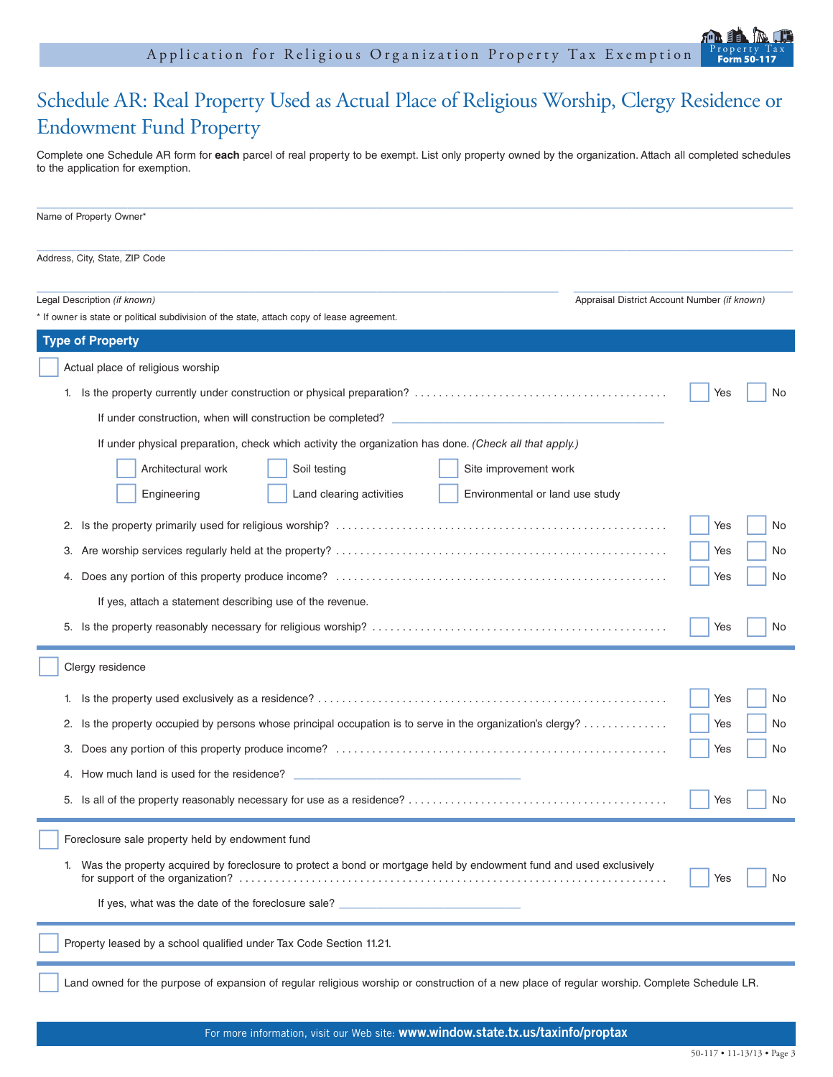

Complete one Schedule AR form for **each** parcel of real property to be exempt. List only property owned by the organization. Attach all completed schedules to the application for exemption.

| Name of Property Owner*                                                                                                                                                    |            |  |
|----------------------------------------------------------------------------------------------------------------------------------------------------------------------------|------------|--|
| Address, City, State, ZIP Code                                                                                                                                             |            |  |
| Legal Description (if known)<br>Appraisal District Account Number (if known)<br>* If owner is state or political subdivision of the state, attach copy of lease agreement. |            |  |
| <b>Type of Property</b>                                                                                                                                                    |            |  |
| Actual place of religious worship                                                                                                                                          |            |  |
|                                                                                                                                                                            | Yes<br>No. |  |
|                                                                                                                                                                            |            |  |
| If under physical preparation, check which activity the organization has done. (Check all that apply.)                                                                     |            |  |
| Architectural work<br>Soil testing<br>Site improvement work                                                                                                                |            |  |
| Engineering<br>Land clearing activities<br>Environmental or land use study                                                                                                 |            |  |
| 2.                                                                                                                                                                         | Yes<br>No. |  |
| З.                                                                                                                                                                         | Yes<br>No. |  |
| 4.                                                                                                                                                                         | Yes<br>No. |  |
| If yes, attach a statement describing use of the revenue.                                                                                                                  |            |  |
|                                                                                                                                                                            | Yes<br>No. |  |
| Clergy residence                                                                                                                                                           |            |  |
| 1.                                                                                                                                                                         | Yes<br>No. |  |
| Is the property occupied by persons whose principal occupation is to serve in the organization's clergy?<br>2.                                                             | Yes<br>No. |  |
| З.                                                                                                                                                                         | Yes<br>No. |  |
| How much land is used for the residence?<br>4.                                                                                                                             |            |  |
|                                                                                                                                                                            | Yes<br>No. |  |
| Foreclosure sale property held by endowment fund                                                                                                                           |            |  |
| Was the property acquired by foreclosure to protect a bond or mortgage held by endowment fund and used exclusively<br>1.<br>No.<br>Yes                                     |            |  |
| If yes, what was the date of the foreclosure sale?                                                                                                                         |            |  |
| Property leased by a school qualified under Tax Code Section 11.21.                                                                                                        |            |  |
| Land owned for the purpose of expansion of regular religious worship or construction of a new place of regular worship. Complete Schedule LR.                              |            |  |

Form 50-117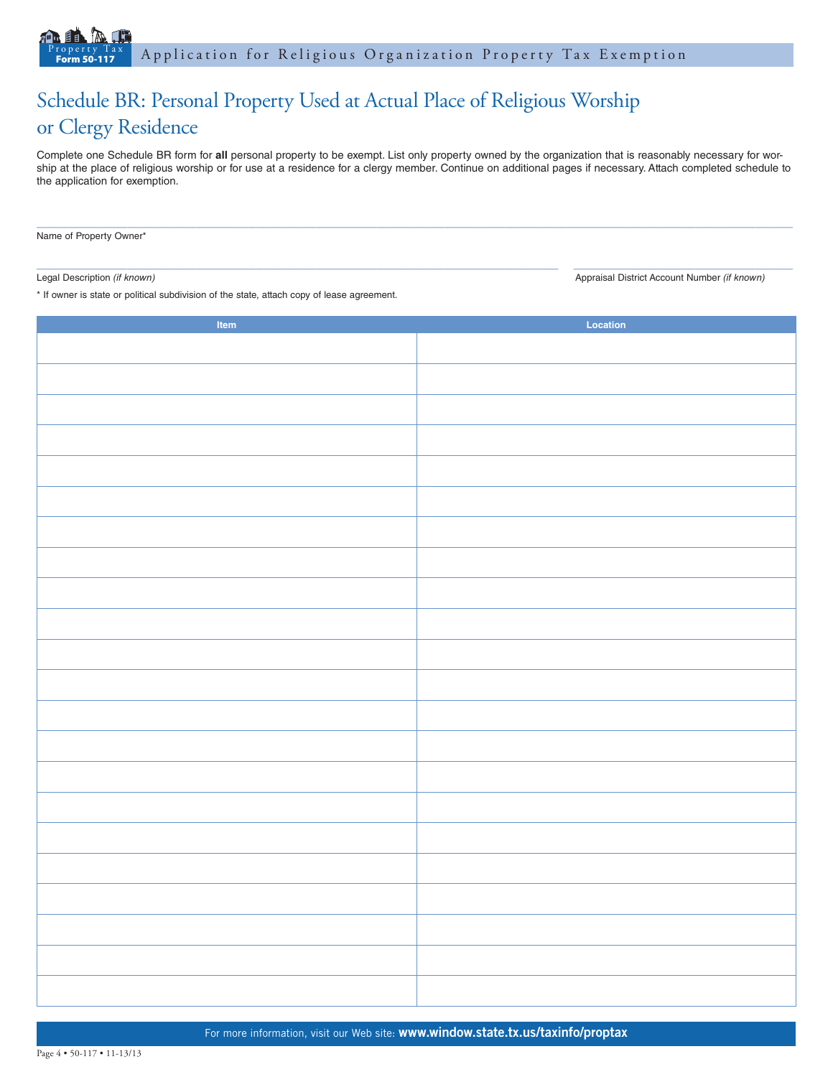## Schedule BR: Personal Property Used at Actual Place of Religious Worship or Clergy Residence

Complete one Schedule BR form for **all** personal property to be exempt. List only property owned by the organization that is reasonably necessary for worship at the place of religious worship or for use at a residence for a clergy member. Continue on additional pages if necessary. Attach completed schedule to the application for exemption.

 $\_$  ,  $\_$  ,  $\_$  ,  $\_$  ,  $\_$  ,  $\_$  ,  $\_$  ,  $\_$  ,  $\_$  ,  $\_$  ,  $\_$  ,  $\_$  ,  $\_$  ,  $\_$  ,  $\_$  ,  $\_$  ,  $\_$  ,  $\_$  ,  $\_$  ,  $\_$  ,  $\_$  ,  $\_$  ,  $\_$  ,  $\_$  ,  $\_$  ,  $\_$  ,  $\_$  ,  $\_$  ,  $\_$  ,  $\_$  ,  $\_$  ,  $\_$  ,  $\_$  ,  $\_$  ,  $\_$  ,  $\_$  ,  $\_$  ,

Name of Property Owner\*

 $\_$  ,  $\_$  ,  $\_$  ,  $\_$  ,  $\_$  ,  $\_$  ,  $\_$  ,  $\_$  ,  $\_$  ,  $\_$  ,  $\_$  ,  $\_$  ,  $\_$  ,  $\_$  ,  $\_$  ,  $\_$  ,  $\_$  ,  $\_$  ,  $\_$  ,  $\_$  ,  $\_$  ,  $\_$  ,  $\_$  ,  $\_$  ,  $\_$  ,  $\_$  ,  $\_$  ,  $\_$  ,  $\_$  ,  $\_$  ,  $\_$  ,  $\_$  ,  $\_$  ,  $\_$  ,  $\_$  ,  $\_$  ,  $\_$  ,

Legal Description *(if known)* Appraisal District Account Number *(if known)* Appraisal District Account Number *(if known)* 

\* If owner is state or political subdivision of the state, attach copy of lease agreement.

| Item | Location |
|------|----------|
|      |          |
|      |          |
|      |          |
|      |          |
|      |          |
|      |          |
|      |          |
|      |          |
|      |          |
|      |          |
|      |          |
|      |          |
|      |          |
|      |          |
|      |          |
|      |          |
|      |          |
|      |          |
|      |          |
|      |          |
|      |          |
|      |          |
|      |          |